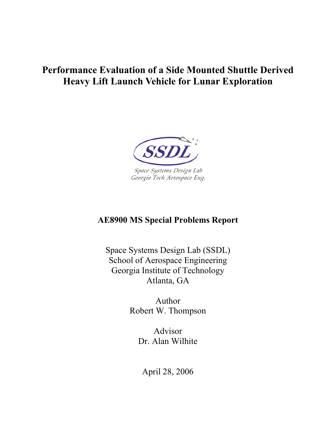# **Performance Evaluation of a Side Mounted Shuttle Derived Heavy Lift Launch Vehicle for Lunar Exploration**



# **AE8900 MS Special Problems Report**

Space Systems Design Lab (SSDL) School of Aerospace Engineering Georgia Institute of Technology Atlanta, GA

> Author Robert W. Thompson

> > Advisor Dr. Alan Wilhite

April 28, 2006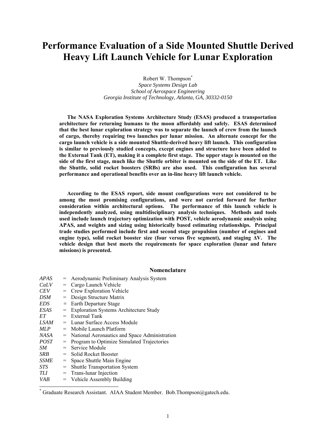# **Performance Evaluation of a Side Mounted Shuttle Derived Heavy Lift Launch Vehicle for Lunar Exploration**

Robert W. Thompson<sup>\*</sup>

*Space Systems Design Lab School of Aerospace Engineering Georgia Institute of Technology, Atlanta, GA, 30332-0150* 

**The NASA Exploration Systems Architecture Study (ESAS) produced a transportation architecture for returning humans to the moon affordably and safely. ESAS determined that the best lunar exploration strategy was to separate the launch of crew from the launch of cargo, thereby requiring two launches per lunar mission. An alternate concept for the cargo launch vehicle is a side mounted Shuttle-derived heavy lift launch. This configuration is similar to previously studied concepts, except engines and structure have been added to the External Tank (ET), making it a complete first stage. The upper stage is mounted on the side of the first stage, much like the Shuttle orbiter is mounted on the side of the ET. Like the Shuttle, solid rocket boosters (SRBs) are also used. This configuration has several performance and operational benefits over an in-line heavy lift launch vehicle.** 

**According to the ESAS report, side mount configurations were not considered to be among the most promising configurations, and were not carried forward for further consideration within architectural options. The performance of this launch vehicle is independently analyzed, using multidisciplinary analysis techniques. Methods and tools used include launch trajectory optimization with POST, vehicle aerodynamic analysis using APAS, and weights and sizing using historically based estimating relationships. Principal trade studies performed include first and second stage propulsion (number of engines and engine type), solid rocket booster size (four versus five segment), and staging ∆V. The vehicle design that best meets the requirements for space exploration (lunar and future missions) is presented.** 

# **Nomenclature**

| <b>APAS</b> | $=$ | Aerodynamic Preliminary Analysis System         |
|-------------|-----|-------------------------------------------------|
| CaLV        | $=$ | Cargo Launch Vehicle                            |
| <i>CEV</i>  | $=$ | <b>Crew Exploration Vehicle</b>                 |
| DSM         | $=$ | Design Structure Matrix                         |
| EDS         | $=$ | Earth Departure Stage                           |
| ESAS        | $=$ | <b>Exploration Systems Architecture Study</b>   |
| ET          | $=$ | External Tank                                   |
| LSAM        |     | = Lunar Surface Access Module                   |
| MLP         | $=$ | Mobile Launch Platform                          |
| NASA        |     | = National Aeronautics and Space Administration |
| <i>POST</i> |     | = Program to Optimize Simulated Trajectories    |
| SM.         | $=$ | Service Module                                  |
| SRB         |     | $=$ Solid Rocket Booster                        |
| <b>SSME</b> | $=$ | Space Shuttle Main Engine                       |
| <b>STS</b>  | $=$ | <b>Shuttle Transportation System</b>            |
| TLI         | $=$ | Trans-lunar Injection                           |
| <b>VAB</b>  |     | $=$ Vehicle Assembly Building                   |

 $\overline{a}$ 

<sup>\*</sup> Graduate Research Assistant. AIAA Student Member. Bob.Thompson@gatech.edu.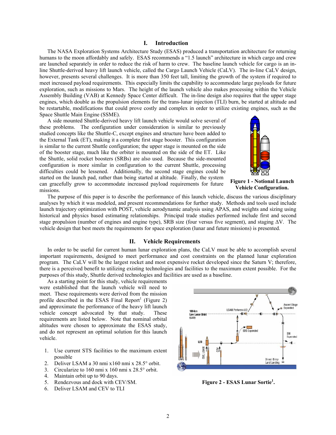# **I. Introduction**

The NASA Exploration Systems Architecture Study (ESAS) produced a transportation architecture for returning humans to the moon affordably and safely. ESAS recommends a "1.5 launch" architecture in which cargo and crew are launched separately in order to reduce the risk of harm to crew. The baseline launch vehicle for cargo is an inline Shuttle-derived heavy lift launch vehicle, called the Cargo Launch Vehicle (CaLV). The in-line CaLV design, however, presents several challenges. It is more than 350 feet tall, limiting the growth of the system if required to meet increased payload requirements. This especially limits the capability to accommodate large payloads for future exploration, such as missions to Mars. The height of the launch vehicle also makes processing within the Vehicle Assembly Building (VAB) at Kennedy Space Center difficult. The in-line design also requires that the upper stage engines, which double as the propulsion elements for the trans-lunar injection (TLI) burn, be started at altitude and be restartable, modifications that could prove costly and complex in order to utilize existing engines, such as the Space Shuttle Main Engine (SSME).

A side mounted Shuttle-derived heavy lift launch vehicle would solve several of these problems. The configuration under consideration is similar to previously studied concepts like the Shuttle-C, except engines and structure have been added to the External Tank (ET), making it a complete first stage booster. This configuration is similar to the current Shuttle configuration; the upper stage is mounted on the side of the booster stage, much like the orbiter is mounted on the side of the ET. Like the Shuttle, solid rocket boosters (SRBs) are also used. Because the side-mounted configuration is more similar in configuration to the current Shuttle, processing difficulties could be lessened. Additionally, the second stage engines could be started on the launch pad, rather than being started at altitude. Finally, the system can gracefully grow to accommodate increased payload requirements for future missions.



**Figure 1 - Notional Launch Vehicle Configuration.** 

The purpose of this paper is to describe the performance of this launch vehicle, discuss the various disciplinary analyses by which it was modeled, and present recommendations for further study. Methods and tools used include launch trajectory optimization with POST, vehicle aerodynamic analysis using APAS, and weights and sizing using historical and physics based estimating relationships. Principal trade studies performed include first and second stage propulsion (number of engines and engine type), SRB size (four versus five segment), and staging ∆V. The vehicle design that best meets the requirements for space exploration (lunar and future missions) is presented.

#### **II. Vehicle Requirements**

In order to be useful for current human lunar exploration plans, the CaLV must be able to accomplish several important requirements, designed to meet performance and cost constraints on the planned lunar exploration program. The CaLV will be the largest rocket and most expensive rocket developed since the Saturn V; therefore, there is a perceived benefit to utilizing existing technologies and facilities to the maximum extent possible. For the purposes of this study, Shuttle derived technologies and facilities are used as a baseline.

As a starting point for this study, vehicle requirements were established that the launch vehicle will need to meet. These requirements were derived from the mission profile described in the ESAS Final Report<sup>1</sup> (Figure 2) and approximate the performance of the heavy lift launch vehicle concept advocated by that study. These requirements are listed below. Note that nominal orbital altitudes were chosen to approximate the ESAS study, and do not represent an optimal solution for this launch vehicle.

- 1. Use current STS facilities to the maximum extent possible
- 2. Deliver LSAM a 30 nmi x160 nmi x 28.5° orbit.
- 3. Circularize to 160 nmi x 160 nmi x 28.5° orbit.
- 4. Maintain orbit up to 90 days.
- 5. Rendezvous and dock with CEV/SM.
- 6. Deliver LSAM and CEV to TLI



**Figure 2 - ESAS Lunar Sortie1 .**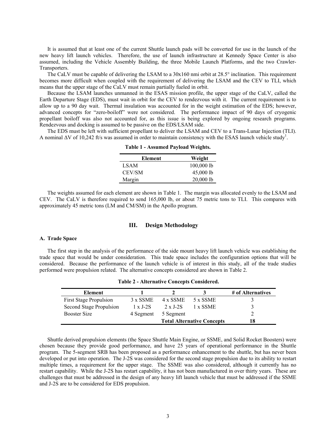It is assumed that at least one of the current Shuttle launch pads will be converted for use in the launch of the new heavy lift launch vehicles. Therefore, the use of launch infrastructure at Kennedy Space Center is also assumed, including the Vehicle Assembly Building, the three Mobile Launch Platforms, and the two Crawler-Transporters.

The CaLV must be capable of delivering the LSAM to a 30x160 nmi orbit at 28.5° inclination. This requirement becomes more difficult when coupled with the requirement of delivering the LSAM and the CEV to TLI, which means that the upper stage of the CaLV must remain partially fueled in orbit.

Because the LSAM launches unmanned in the ESAS mission profile, the upper stage of the CaLV, called the Earth Departure Stage (EDS), must wait in orbit for the CEV to rendezvous with it. The current requirement is to allow up to a 90 day wait. Thermal insulation was accounted for in the weight estimation of the EDS; however, advanced concepts for "zero-boiloff" were not considered. The performance impact of 90 days of cryogenic propellant boiloff was also not accounted for, as this issue is being explored by ongoing research programs. Rendezvous and docking is assumed to be passive on the EDS/LSAM side.

The EDS must be left with sufficient propellant to deliver the LSAM and CEV to a Trans-Lunar Injection (TLI). A nominal  $\Delta V$  of 10,242 ft/s was assumed in order to maintain consistency with the ESAS launch vehicle study<sup>1</sup>.

| Element     | Weight      |
|-------------|-------------|
| <b>LSAM</b> | 100,000 lb  |
| CEV/SM      | 45,000 lb   |
| Margin      | $20,000$ lb |
|             |             |

**Table 1 - Assumed Payload Weights.** 

The weights assumed for each element are shown in Table 1. The margin was allocated evenly to the LSAM and CEV. The CaLV is therefore required to send 165,000 lb, or about 75 metric tons to TLI. This compares with approximately 45 metric tons (LM and CM/SM) in the Apollo program.

# **III. Design Methodology**

#### **A. Trade Space**

The first step in the analysis of the performance of the side mount heavy lift launch vehicle was establishing the trade space that would be under consideration. This trade space includes the configuration options that will be considered. Because the performance of the launch vehicle is of interest in this study, all of the trade studies performed were propulsion related. The alternative concepts considered are shown in Table 2.

| Element                        |                 |                 |                                   | # of Alternatives |
|--------------------------------|-----------------|-----------------|-----------------------------------|-------------------|
| <b>First Stage Propulsion</b>  | 3 x SSME        | 4 x SSME        | 5 x SSME                          |                   |
| <b>Second Stage Propulsion</b> | $1 \times$ J-2S | $2 \times$ J-2S | 1 x SSME                          |                   |
| <b>Booster Size</b>            | 4 Segment       | 5 Segment       |                                   |                   |
|                                |                 |                 | <b>Total Alternative Concepts</b> | 18                |

**Table 2 - Alternative Concepts Considered.** 

Shuttle derived propulsion elements (the Space Shuttle Main Engine, or SSME, and Solid Rocket Boosters) were chosen because they provide good performance, and have 25 years of operational performance in the Shuttle program. The 5-segment SRB has been proposed as a performance enhancement to the shuttle, but has never been developed or put into operation. The J-2S was considered for the second stage propulsion due to its ability to restart multiple times, a requirement for the upper stage. The SSME was also considered, although it currently has no restart capability. While the J-2S has restart capability, it has not been manufactured in over thirty years. These are challenges that must be addressed in the design of any heavy lift launch vehicle that must be addressed if the SSME and J-2S are to be considered for EDS propulsion.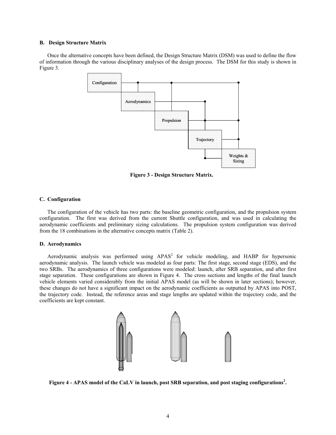# **B. Design Structure Matrix**

Once the alternative concepts have been defined, the Design Structure Matrix (DSM) was used to define the flow of information through the various disciplinary analyses of the design process. The DSM for this study is shown in Figure 3.



**Figure 3 - Design Structure Matrix.** 

# **C. Configuration**

The configuration of the vehicle has two parts: the baseline geometric configuration, and the propulsion system configuration. The first was derived from the current Shuttle configuration, and was used in calculating the aerodynamic coefficients and preliminary sizing calculations. The propulsion system configuration was derived from the 18 combinations in the alternative concepts matrix (Table 2).

#### **D. Aerodynamics**

Aerodynamic analysis was performed using  $APAS<sup>2</sup>$  for vehicle modeling, and HABP for hypersonic aerodynamic analysis. The launch vehicle was modeled as four parts: The first stage, second stage (EDS), and the two SRBs. The aerodynamics of three configurations were modeled: launch, after SRB separation, and after first stage separation. These configurations are shown in Figure 4. The cross sections and lengths of the final launch vehicle elements varied considerably from the initial APAS model (as will be shown in later sections); however, these changes do not have a significant impact on the aerodynamic coefficients as outputted by APAS into POST, the trajectory code. Instead, the reference areas and stage lengths are updated within the trajectory code, and the coefficients are kept constant.



**Figure 4 - APAS model of the CaLV in launch, post SRB separation, and post staging configurations<sup>2</sup> .**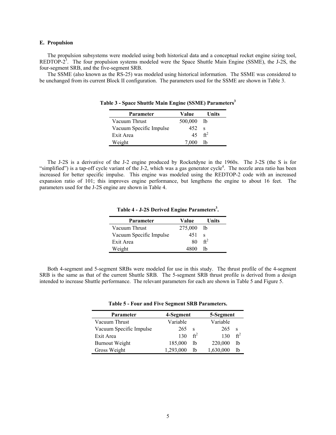# **E. Propulsion**

The propulsion subsystems were modeled using both historical data and a conceptual rocket engine sizing tool, REDTOP- $2^3$ . The four propulsion systems modeled were the Space Shuttle Main Engine (SSME), the J-2S, the four-segment SRB, and the five-segment SRB.

The SSME (also known as the RS-25) was modeled using historical information. The SSME was considered to be unchanged from its current Block II configuration. The parameters used for the SSME are shown in Table 3.

| Parameter               | Value   | Units           |
|-------------------------|---------|-----------------|
| Vacuum Thrust           | 500,000 | - Ib            |
| Vacuum Specific Impulse | 452     | s               |
| Exit Area               | 45      | ft <sup>2</sup> |
| Weight                  | 7,000   | lb              |

**Table 3 - Space Shuttle Main Engine (SSME) Parameters3**

The J-2S is a derivative of the J-2 engine produced by Rocketdyne in the 1960s. The J-2S (the S is for "simplified") is a tap-off cycle variant of the J-2, which was a gas generator cycle<sup>4</sup>. The nozzle area ratio has been increased for better specific impulse. This engine was modeled using the REDTOP-2 code with an increased expansion ratio of 101; this improves engine performance, but lengthens the engine to about 16 feet. The parameters used for the J-2S engine are shown in Table 4.

| Parameter               | Value   | Units           |
|-------------------------|---------|-----------------|
| Vacuum Thrust           | 275,000 | -lb             |
| Vacuum Specific Impulse | 451     | s               |
| Exit Area               | 80      | $\mathrm{ft}^2$ |
| Weight                  | 4800    | Ih              |

Table 4 - J-2S Derived Engine Parameters<sup>3</sup>.

Both 4-segment and 5-segment SRBs were modeled for use in this study. The thrust profile of the 4-segment SRB is the same as that of the current Shuttle SRB. The 5-segment SRB thrust profile is derived from a design intended to increase Shuttle performance. The relevant parameters for each are shown in Table 5 and Figure 5.

|  |  |  | Table 5 - Four and Five Segment SRB Parameters. |
|--|--|--|-------------------------------------------------|
|  |  |  |                                                 |

| Parameter               | 4-Segment |                 | 5-Segment |                 |
|-------------------------|-----------|-----------------|-----------|-----------------|
| Vacuum Thrust           | Variable  |                 | Variable  |                 |
| Vacuum Specific Impulse | 265       | S               | 265       | S               |
| Exit Area               | 130       | ft <sup>2</sup> | 130       | $\mathrm{ft}^2$ |
| <b>Burnout Weight</b>   | 185,000   | lb              | 220,000   | lb              |
| Gross Weight            | 1,293,000 | lb              | 1,630,000 | lb              |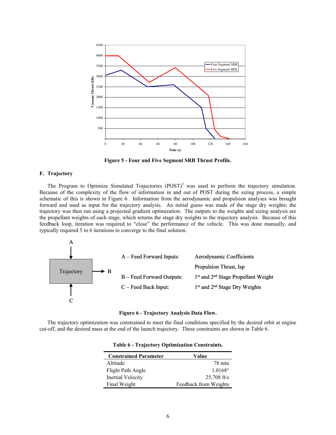

**Figure 5 - Four and Five Segment SRB Thrust Profile.** 

#### **F. Trajectory**

The Program to Optimize Simulated Trajectories  $(POST)^5$  was used to perform the trajectory simulation. Because of the complexity of the flow of information in and out of POST during the sizing process, a simple schematic of this is shown in Figure 6. Information from the aerodynamic and propulsion analyses was brought forward and used as input for the trajectory analysis. An initial guess was made of the stage dry weights; the trajectory was then run using a projected gradient optimization. The outputs to the weights and sizing analysis are the propellant weights of each stage, which returns the stage dry weights to the trajectory analysis. Because of this feedback loop, iteration was required to "close" the performance of the vehicle. This was done manually, and typically required 5 to 6 iterations to converge to the final solution.





The trajectory optimization was constrained to meet the final conditions specified by the desired orbit at engine cut-off, and the desired mass at the end of the launch trajectory. These constraints are shown in Table 6.

| <b>Constrained Parameter</b> | Value                 |
|------------------------------|-----------------------|
| Altitude                     | 78 nmi                |
| Flight Path Angle            | $1.0168^{\circ}$      |
| Inertial Velocity            | $25,708$ ft/s         |
| Final Weight                 | Feedback from Weights |

**Table 6 - Trajectory Optimization Constraints.**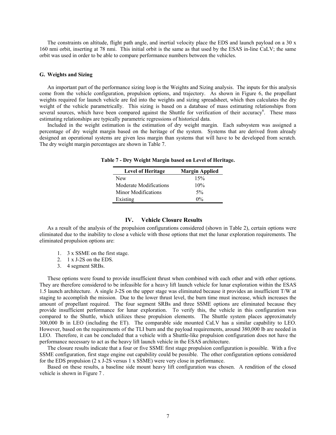The constraints on altitude, flight path angle, and inertial velocity place the EDS and launch payload on a 30 x 160 nmi orbit, inserting at 78 nmi. This initial orbit is the same as that used by the ESAS in-line CaLV; the same orbit was used in order to be able to compare performance numbers between the vehicles.

#### **G. Weights and Sizing**

An important part of the performance sizing loop is the Weights and Sizing analysis. The inputs for this analysis come from the vehicle configuration, propulsion options, and trajectory. As shown in Figure 6, the propellant weights required for launch vehicle are fed into the weights and sizing spreadsheet, which then calculates the dry weight of the vehicle parametrically. This sizing is based on a database of mass estimating relationships from several sources, which have been compared against the Shuttle for verification of their accuracy<sup>6</sup>. These mass estimating relationships are typically parametric regressions of historical data.

Included in the weight estimation is the estimation of dry weight margin. Each subsystem was assigned a percentage of dry weight margin based on the heritage of the system. Systems that are derived from already designed an operational systems are given less margin than systems that will have to be developed from scratch. The dry weight margin percentages are shown in Table 7.

| <b>Level of Heritage</b> | <b>Margin Applied</b> |
|--------------------------|-----------------------|
| New                      | 15%                   |
| Moderate Modifications   | 10%                   |
| Minor Modifications      | $5\%$                 |
| Existing                 | $0\%$                 |

**Table 7 - Dry Weight Margin based on Level of Heritage.** 

#### **IV. Vehicle Closure Results**

As a result of the analysis of the propulsion configurations considered (shown in Table 2), certain options were eliminated due to the inability to close a vehicle with those options that met the lunar exploration requirements. The eliminated propulsion options are:

- 1. 3 x SSME on the first stage.
- 2. 1 x J-2S on the EDS.
- 3. 4 segment SRBs.

These options were found to provide insufficient thrust when combined with each other and with other options. They are therefore considered to be infeasible for a heavy lift launch vehicle for lunar exploration within the ESAS 1.5 launch architecture. A single J-2S on the upper stage was eliminated because it provides an insufficient T/W at staging to accomplish the mission. Due to the lower thrust level, the burn time must increase, which increases the amount of propellant required. The four segment SRBs and three SSME options are eliminated because they provide insufficient performance for lunar exploration. To verify this, the vehicle in this configuration was compared to the Shuttle, which utilizes these propulsion elements. The Shuttle system places approximately 300,000 lb in LEO (including the ET). The comparable side mounted CaLV has a similar capability to LEO. However, based on the requirements of the TLI burn and the payload requirements, around 380,000 lb are needed in LEO. Therefore, it can be concluded that a vehicle with a Shuttle-like propulsion configuration does not have the performance necessary to act as the heavy lift launch vehicle in the ESAS architecture.

The closure results indicate that a four or five SSME first stage propulsion configuration is possible. With a five SSME configuration, first stage engine out capability could be possible. The other configuration options considered for the EDS propulsion (2 x J-2S versus 1 x SSME) were very close in performance.

Based on these results, a baseline side mount heavy lift configuration was chosen. A rendition of the closed vehicle is shown in Figure 7 .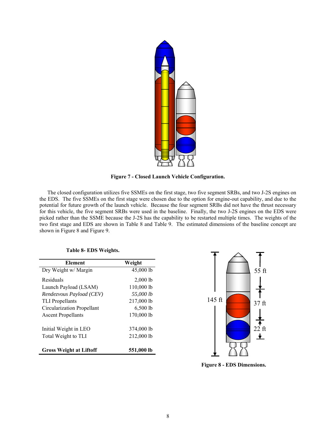

**Figure 7 - Closed Launch Vehicle Configuration.** 

The closed configuration utilizes five SSMEs on the first stage, two five segment SRBs, and two J-2S engines on the EDS. The five SSMEs on the first stage were chosen due to the option for engine-out capability, and due to the potential for future growth of the launch vehicle. Because the four segment SRBs did not have the thrust necessary for this vehicle, the five segment SRBs were used in the baseline. Finally, the two J-2S engines on the EDS were picked rather than the SSME because the J-2S has the capability to be restarted multiple times. The weights of the two first stage and EDS are shown in Table 8 and Table 9. The estimated dimensions of the baseline concept are shown in Figure 8 and Figure 9.

| Element                        | Weight     |
|--------------------------------|------------|
| Dry Weight w/ Margin           | 45,000 lb  |
| Residuals                      | $2,000$ lb |
| Launch Payload (LSAM)          | 110,000 lb |
| Rendezvous Payload (CEV)       | 55,000 lb  |
| <b>TLI</b> Propellants         | 217,000 lb |
| Circularization Propellant     | $6,500$ lb |
| <b>Ascent Propellants</b>      | 170,000 lb |
| Initial Weight in LEO          | 374,000 lb |
| Total Weight to TLI            | 212,000 lb |
| <b>Gross Weight at Liftoff</b> | 551,000 lb |



**Figure 8 - EDS Dimensions.**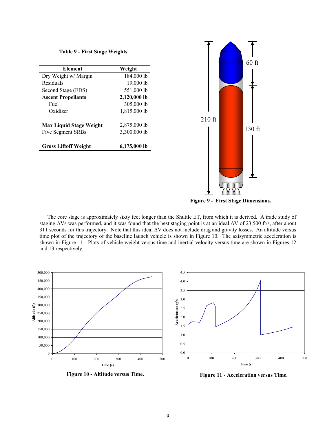**Table 9 - First Stage Weights.** 

| Element                        | Weight       |
|--------------------------------|--------------|
| Dry Weight w/ Margin           | 184,000 lb   |
| Residuals                      | 19,000 lb    |
| Second Stage (EDS)             | 551,000 lb   |
| <b>Ascent Propellants</b>      | 2,120,000 lb |
| Fuel                           | 305,000 lb   |
| Oxidizer                       | 1,815,000 lb |
| <b>Max Liquid Stage Weight</b> | 2,875,000 lb |
| Five Segment SRBs              | 3,300,000 lb |
| <b>Gross Liftoff Weight</b>    | 6,175,000 lb |



**Figure 9 - First Stage Dimensions.**

The core stage is approximately sixty feet longer than the Shuttle ET, from which it is derived. A trade study of staging ∆Vs was performed, and it was found that the best staging point is at an ideal ∆V of 23,500 ft/s, after about 311 seconds for this trajectory. Note that this ideal ∆V does not include drag and gravity losses. An altitude versus time plot of the trajectory of the baseline launch vehicle is shown in Figure 10. The axisymmetric acceleration is shown in Figure 11. Plots of vehicle weight versus time and inertial velocity versus time are shown in Figures 12 and 13 respectively.



Figure 10 - Altitude versus Time.<br>
Figure 11 - Acceleration versus Time.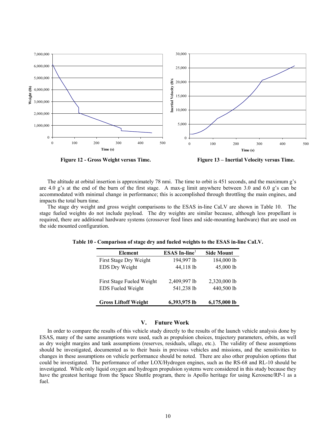

**Figure 12 - Gross Weight versus Time. Figure 13 – Inertial Velocity versus Time.** 

The altitude at orbital insertion is approximately 78 nmi. The time to orbit is 451 seconds, and the maximum g's are 4.0 g's at the end of the burn of the first stage. A max-g limit anywhere between 3.0 and 6.0 g's can be accommodated with minimal change in performance; this is accomplished through throttling the main engines, and impacts the total burn time.

The stage dry weight and gross weight comparisons to the ESAS in-line CaLV are shown in Table 10. The stage fueled weights do not include payload. The dry weights are similar because, although less propellant is required, there are additional hardware systems (crossover feed lines and side-mounting hardware) that are used on the side mounted configuration.

| <b>Element</b>              | $ESAS In-line1$ | <b>Side Mount</b> |
|-----------------------------|-----------------|-------------------|
| First Stage Dry Weight      | 194,997 lb      | 184,000 lb        |
| EDS Dry Weight              | 44,118 lb       | 45,000 lb         |
| First Stage Fueled Weight   | 2,409,997 lb    | 2,320,000 lb      |
| <b>EDS</b> Fueled Weight    | 541,238 lb      | 440,500 lb        |
| <b>Gross Liftoff Weight</b> | 6,393,975 lb    | 6,175,000 lb      |

**Table 10 - Comparison of stage dry and fueled weights to the ESAS in-line CaLV.** 

#### **V. Future Work**

In order to compare the results of this vehicle study directly to the results of the launch vehicle analysis done by ESAS, many of the same assumptions were used, such as propulsion choices, trajectory parameters, orbits, as well as dry weight margins and tank assumptions (reserves, residuals, ullage, etc.). The validity of these assumptions should be investigated, documented as to their basis in previous vehicles and missions, and the sensitivities to changes in these assumptions on vehicle performance should be noted. There are also other propulsion options that could be investigated. The performance of other LOX/Hydrogen engines, such as the RS-68 and RL-10 should be investigated. While only liquid oxygen and hydrogen propulsion systems were considered in this study because they have the greatest heritage from the Space Shuttle program, there is Apollo heritage for using Kerosene/RP-1 as a fuel.